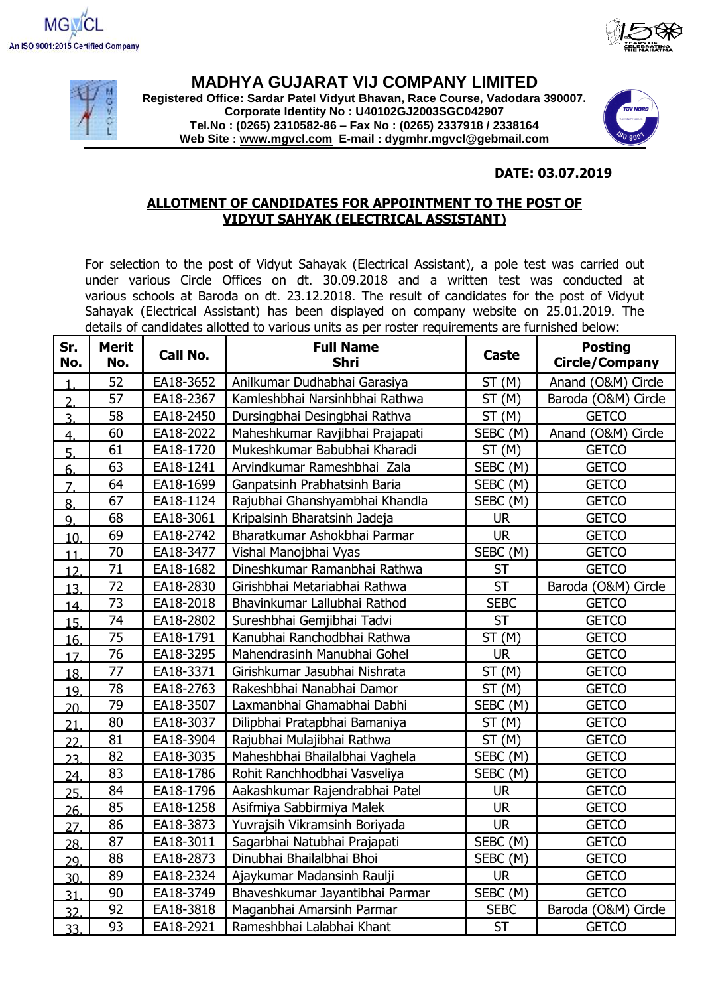





## **MADHYA GUJARAT VIJ COMPANY LIMITED**

**Registered Office: Sardar Patel Vidyut Bhavan, Race Course, Vadodara 390007. Corporate Identity No : U40102GJ2003SGC042907 Tel.No : (0265) 2310582-86 – Fax No : (0265) 2337918 / 2338164 Web Site : [www.mgvcl.com](http://www.mgvcl.com/) E-mail : dygmhr.mgvcl@gebmail.com**



## **DATE: 03.07.2019**

## **ALLOTMENT OF CANDIDATES FOR APPOINTMENT TO THE POST OF VIDYUT SAHYAK (ELECTRICAL ASSISTANT)**

For selection to the post of Vidyut Sahayak (Electrical Assistant), a pole test was carried out under various Circle Offices on dt. 30.09.2018 and a written test was conducted at various schools at Baroda on dt. 23.12.2018. The result of candidates for the post of Vidyut Sahayak (Electrical Assistant) has been displayed on company website on 25.01.2019. The details of candidates allotted to various units as per roster requirements are furnished below:

| Sr.<br>No.       | <b>Merit</b><br>No. | Call No.  | <b>Full Name</b><br><b>Shri</b> | <b>Caste</b> | <b>Posting</b><br><b>Circle/Company</b> |
|------------------|---------------------|-----------|---------------------------------|--------------|-----------------------------------------|
|                  | 52                  | EA18-3652 | Anilkumar Dudhabhai Garasiya    | ST(M)        | Anand (O&M) Circle                      |
| $\overline{2}$   | $\overline{57}$     | EA18-2367 | Kamleshbhai Narsinhbhai Rathwa  | ST(M)        | Baroda (O&M) Circle                     |
| $\overline{3}$ . | 58                  | EA18-2450 | Dursingbhai Desingbhai Rathva   | ST(M)        | <b>GETCO</b>                            |
| 4.               | 60                  | EA18-2022 | Maheshkumar Ravjibhai Prajapati | SEBC (M)     | Anand (O&M) Circle                      |
| 5.               | 61                  | EA18-1720 | Mukeshkumar Babubhai Kharadi    | ST(M)        | <b>GETCO</b>                            |
| 6.               | 63                  | EA18-1241 | Arvindkumar Rameshbhai Zala     | SEBC (M)     | <b>GETCO</b>                            |
| $\overline{7}$ . | 64                  | EA18-1699 | Ganpatsinh Prabhatsinh Baria    | SEBC (M)     | <b>GETCO</b>                            |
| 8.               | 67                  | EA18-1124 | Rajubhai Ghanshyambhai Khandla  | SEBC (M)     | <b>GETCO</b>                            |
| 9.               | 68                  | EA18-3061 | Kripalsinh Bharatsinh Jadeja    | <b>UR</b>    | <b>GETCO</b>                            |
| 10.              | 69                  | EA18-2742 | Bharatkumar Ashokbhai Parmar    | <b>UR</b>    | <b>GETCO</b>                            |
| 11               | $\overline{70}$     | EA18-3477 | Vishal Manojbhai Vyas           | SEBC (M)     | <b>GETCO</b>                            |
| 12 <sub>1</sub>  | 71                  | EA18-1682 | Dineshkumar Ramanbhai Rathwa    | <b>ST</b>    | <b>GETCO</b>                            |
| 13.              | $\overline{72}$     | EA18-2830 | Girishbhai Metariabhai Rathwa   | <b>ST</b>    | Baroda (O&M) Circle                     |
| 14.              | $\overline{73}$     | EA18-2018 | Bhavinkumar Lallubhai Rathod    | <b>SEBC</b>  | <b>GETCO</b>                            |
| 15.              | 74                  | EA18-2802 | Sureshbhai Gemjibhai Tadvi      | <b>ST</b>    | <b>GETCO</b>                            |
| 16.              | 75                  | EA18-1791 | Kanubhai Ranchodbhai Rathwa     | ST(M)        | <b>GETCO</b>                            |
| 17.              | 76                  | EA18-3295 | Mahendrasinh Manubhai Gohel     | <b>UR</b>    | <b>GETCO</b>                            |
| 18.              | 77                  | EA18-3371 | Girishkumar Jasubhai Nishrata   | ST(M)        | <b>GETCO</b>                            |
| 19.              | 78                  | EA18-2763 | Rakeshbhai Nanabhai Damor       | ST(M)        | <b>GETCO</b>                            |
| 20.              | 79                  | EA18-3507 | Laxmanbhai Ghamabhai Dabhi      | SEBC (M)     | <b>GETCO</b>                            |
| $\overline{21}$  | 80                  | EA18-3037 | Dilipbhai Pratapbhai Bamaniya   | ST(M)        | <b>GETCO</b>                            |
| 22               | 81                  | EA18-3904 | Rajubhai Mulajibhai Rathwa      | ST(M)        | <b>GETCO</b>                            |
| 23.              | 82                  | EA18-3035 | Maheshbhai Bhailalbhai Vaghela  | SEBC (M)     | <b>GETCO</b>                            |
| 24.              | 83                  | EA18-1786 | Rohit Ranchhodbhai Vasveliya    | SEBC (M)     | <b>GETCO</b>                            |
| 25.              | 84                  | EA18-1796 | Aakashkumar Rajendrabhai Patel  | <b>UR</b>    | <b>GETCO</b>                            |
| 26.              | 85                  | EA18-1258 | Asifmiya Sabbirmiya Malek       | <b>UR</b>    | <b>GETCO</b>                            |
| 27.              | 86                  | EA18-3873 | Yuvrajsih Vikramsinh Boriyada   | <b>UR</b>    | <b>GETCO</b>                            |
| 28.              | 87                  | EA18-3011 | Sagarbhai Natubhai Prajapati    | SEBC (M)     | <b>GETCO</b>                            |
| 29.              | 88                  | EA18-2873 | Dinubhai Bhailalbhai Bhoi       | SEBC (M)     | <b>GETCO</b>                            |
| 30.              | 89                  | EA18-2324 | Ajaykumar Madansinh Raulji      | <b>UR</b>    | <b>GETCO</b>                            |
| 31               | 90                  | EA18-3749 | Bhaveshkumar Jayantibhai Parmar | SEBC (M)     | <b>GETCO</b>                            |
| 32               | 92                  | EA18-3818 | Maganbhai Amarsinh Parmar       | <b>SEBC</b>  | Baroda (O&M) Circle                     |
| 33.              | 93                  | EA18-2921 | Rameshbhai Lalabhai Khant       | <b>ST</b>    | <b>GETCO</b>                            |